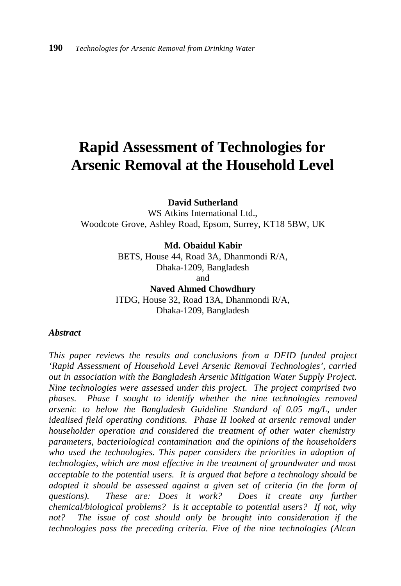# **Rapid Assessment of Technologies for Arsenic Removal at the Household Level**

**David Sutherland**

WS Atkins International Ltd., Woodcote Grove, Ashley Road, Epsom, Surrey, KT18 5BW, UK

**Md. Obaidul Kabir**

BETS, House 44, Road 3A, Dhanmondi R/A, Dhaka-1209, Bangladesh and **Naved Ahmed Chowdhury**

ITDG, House 32, Road 13A, Dhanmondi R/A, Dhaka-1209, Bangladesh

#### *Abstract*

*This paper reviews the results and conclusions from a DFID funded project 'Rapid Assessment of Household Level Arsenic Removal Technologies', carried out in association with the Bangladesh Arsenic Mitigation Water Supply Project. Nine technologies were assessed under this project. The project comprised two phases. Phase I sought to identify whether the nine technologies removed arsenic to below the Bangladesh Guideline Standard of 0.05 mg/L, under idealised field operating conditions. Phase II looked at arsenic removal under householder operation and considered the treatment of other water chemistry parameters, bacteriological contamination and the opinions of the householders who used the technologies. This paper considers the priorities in adoption of technologies, which are most effective in the treatment of groundwater and most acceptable to the potential users. It is argued that before a technology should be adopted it should be assessed against a given set of criteria (in the form of questions). These are: Does it work? Does it create any further chemical/biological problems? Is it acceptable to potential users? If not, why not? The issue of cost should only be brought into consideration if the technologies pass the preceding criteria. Five of the nine technologies (Alcan*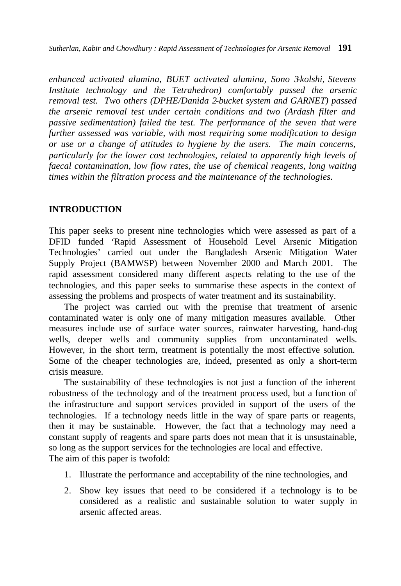*Sutherlan, Kabir and Chowdhury : Rapid Assessment of Technologies for Arsenic Removal* **191**

*enhanced activated alumina, BUET activated alumina, Sono 3-kolshi, Stevens Institute technology and the Tetrahedron) comfortably passed the arsenic removal test. Two others (DPHE/Danida 2-bucket system and GARNET) passed the arsenic removal test under certain conditions and two (Ardash filter and passive sedimentation) failed the test. The performance of the seven that were further assessed was variable, with most requiring some modification to design or use or a change of attitudes to hygiene by the users. The main concerns, particularly for the lower cost technologies, related to apparently high levels of faecal contamination, low flow rates, the use of chemical reagents, long waiting times within the filtration process and the maintenance of the technologies.*

#### **INTRODUCTION**

This paper seeks to present nine technologies which were assessed as part of a DFID funded 'Rapid Assessment of Household Level Arsenic Mitigation Technologies' carried out under the Bangladesh Arsenic Mitigation Water Supply Project (BAMWSP) between November 2000 and March 2001. The rapid assessment considered many different aspects relating to the use of the technologies, and this paper seeks to summarise these aspects in the context of assessing the problems and prospects of water treatment and its sustainability.

The project was carried out with the premise that treatment of arsenic contaminated water is only one of many mitigation measures available. Other measures include use of surface water sources, rainwater harvesting, hand-dug wells, deeper wells and community supplies from uncontaminated wells. However, in the short term, treatment is potentially the most effective solution. Some of the cheaper technologies are, indeed, presented as only a short-term crisis measure.

The sustainability of these technologies is not just a function of the inherent robustness of the technology and of the treatment process used, but a function of the infrastructure and support services provided in support of the users of the technologies. If a technology needs little in the way of spare parts or reagents, then it may be sustainable. However, the fact that a technology may need a constant supply of reagents and spare parts does not mean that it is unsustainable, so long as the support services for the technologies are local and effective. The aim of this paper is twofold:

- 1. Illustrate the performance and acceptability of the nine technologies, and
- 2. Show key issues that need to be considered if a technology is to be considered as a realistic and sustainable solution to water supply in arsenic affected areas.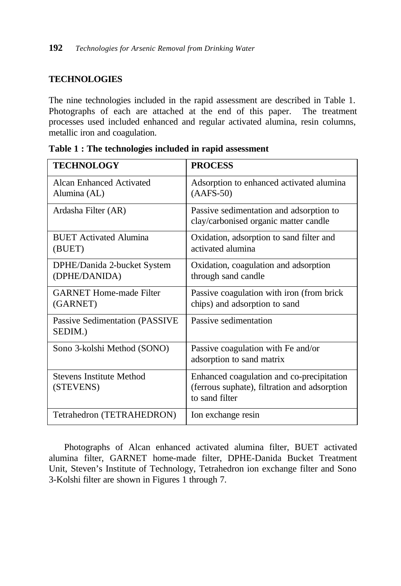## **TECHNOLOGIES**

The nine technologies included in the rapid assessment are described in Table 1. Photographs of each are attached at the end of this paper. The treatment processes used included enhanced and regular activated alumina, resin columns, metallic iron and coagulation.

| <b>TECHNOLOGY</b>                                | <b>PROCESS</b>                                                                                              |
|--------------------------------------------------|-------------------------------------------------------------------------------------------------------------|
| Alcan Enhanced Activated<br>Alumina (AL)         | Adsorption to enhanced activated alumina<br>$(AAFS-50)$                                                     |
| Ardasha Filter (AR)                              | Passive sedimentation and adsorption to<br>clay/carbonised organic matter candle                            |
| <b>BUET</b> Activated Alumina<br>(BUET)          | Oxidation, adsorption to sand filter and<br>activated alumina                                               |
| DPHE/Danida 2-bucket System<br>(DPHE/DANIDA)     | Oxidation, coagulation and adsorption<br>through sand candle                                                |
| <b>GARNET Home-made Filter</b><br>(GARNET)       | Passive coagulation with iron (from brick<br>chips) and adsorption to sand                                  |
| <b>Passive Sedimentation (PASSIVE</b><br>SEDIM.) | Passive sedimentation                                                                                       |
| Sono 3-kolshi Method (SONO)                      | Passive coagulation with Fe and/or<br>adsorption to sand matrix                                             |
| <b>Stevens Institute Method</b><br>(STEVENS)     | Enhanced coagulation and co-precipitation<br>(ferrous suphate), filtration and adsorption<br>to sand filter |
| Tetrahedron (TETRAHEDRON)                        | Ion exchange resin                                                                                          |

**Table 1 : The technologies included in rapid assessment**

Photographs of Alcan enhanced activated alumina filter, BUET activated alumina filter, GARNET home-made filter, DPHE-Danida Bucket Treatment Unit, Steven's Institute of Technology, Tetrahedron ion exchange filter and Sono 3-Kolshi filter are shown in Figures 1 through 7.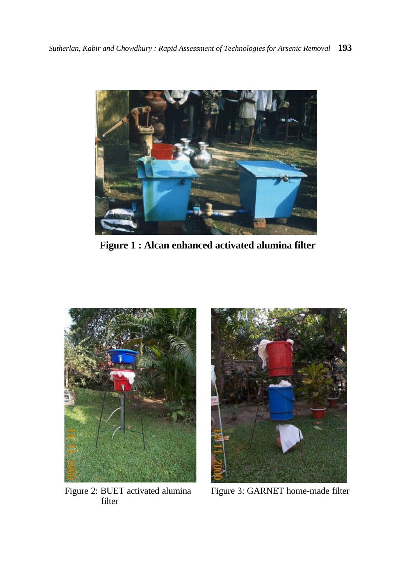

**Figure 1 : Alcan enhanced activated alumina filter**



Figure 2: BUET activated alumina filter



Figure 3: GARNET home-made filter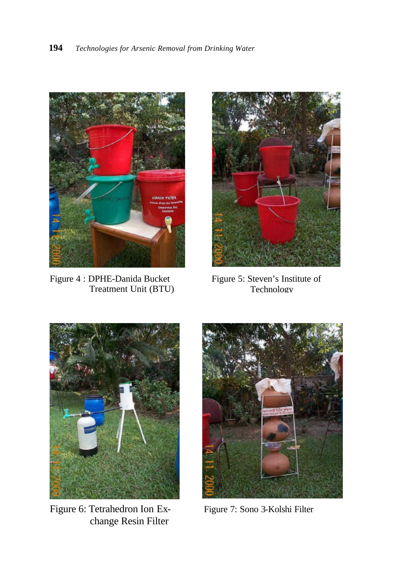

Figure 4 : DPHE-Danida Bucket Treatment Unit (BTU)



Figure 5: Steven's Institute of Technology



Figure 6: Tetrahedron Ion Exchange Resin Filter



Figure 7: Sono 3-Kolshi Filter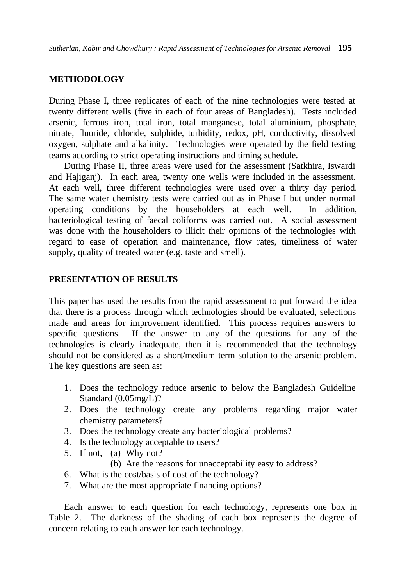### **METHODOLOGY**

During Phase I, three replicates of each of the nine technologies were tested at twenty different wells (five in each of four areas of Bangladesh). Tests included arsenic, ferrous iron, total iron, total manganese, total aluminium, phosphate, nitrate, fluoride, chloride, sulphide, turbidity, redox, pH, conductivity, dissolved oxygen, sulphate and alkalinity. Technologies were operated by the field testing teams according to strict operating instructions and timing schedule.

During Phase II, three areas were used for the assessment (Satkhira, Iswardi and Hajiganj). In each area, twenty one wells were included in the assessment. At each well, three different technologies were used over a thirty day period. The same water chemistry tests were carried out as in Phase I but under normal operating conditions by the householders at each well. In addition, bacteriological testing of faecal coliforms was carried out. A social assessment was done with the householders to illicit their opinions of the technologies with regard to ease of operation and maintenance, flow rates, timeliness of water supply, quality of treated water (e.g. taste and smell).

### **PRESENTATION OF RESULTS**

This paper has used the results from the rapid assessment to put forward the idea that there is a process through which technologies should be evaluated, selections made and areas for improvement identified. This process requires answers to specific questions. If the answer to any of the questions for any of the technologies is clearly inadequate, then it is recommended that the technology should not be considered as a short/medium term solution to the arsenic problem. The key questions are seen as:

- 1. Does the technology reduce arsenic to below the Bangladesh Guideline Standard (0.05mg/L)?
- 2. Does the technology create any problems regarding major water chemistry parameters?
- 3. Does the technology create any bacteriological problems?
- 4. Is the technology acceptable to users?
- 5. If not, (a) Why not?
	- (b) Are the reasons for unacceptability easy to address?
- 6. What is the cost/basis of cost of the technology?
- 7. What are the most appropriate financing options?

Each answer to each question for each technology, represents one box in Table 2. The darkness of the shading of each box represents the degree of concern relating to each answer for each technology.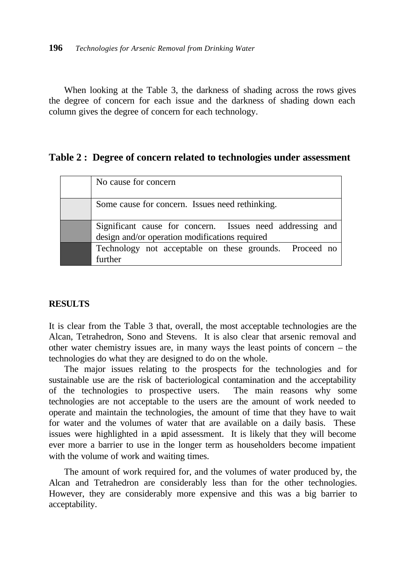When looking at the Table 3, the darkness of shading across the rows gives the degree of concern for each issue and the darkness of shading down each column gives the degree of concern for each technology.

## **Table 2 : Degree of concern related to technologies under assessment**

| No cause for concern                                                                                        |
|-------------------------------------------------------------------------------------------------------------|
| Some cause for concern. Issues need rethinking.                                                             |
| Significant cause for concern. Issues need addressing and<br>design and/or operation modifications required |
| Technology not acceptable on these grounds. Proceed no<br>further                                           |

#### **RESULTS**

It is clear from the Table 3 that, overall, the most acceptable technologies are the Alcan, Tetrahedron, Sono and Stevens. It is also clear that arsenic removal and other water chemistry issues are, in many ways the least points of concern – the technologies do what they are designed to do on the whole.

The major issues relating to the prospects for the technologies and for sustainable use are the risk of bacteriological contamination and the acceptability of the technologies to prospective users. The main reasons why some technologies are not acceptable to the users are the amount of work needed to operate and maintain the technologies, the amount of time that they have to wait for water and the volumes of water that are available on a daily basis. These issues were highlighted in a rapid assessment. It is likely that they will become ever more a barrier to use in the longer term as householders become impatient with the volume of work and waiting times.

The amount of work required for, and the volumes of water produced by, the Alcan and Tetrahedron are considerably less than for the other technologies. However, they are considerably more expensive and this was a big barrier to acceptability.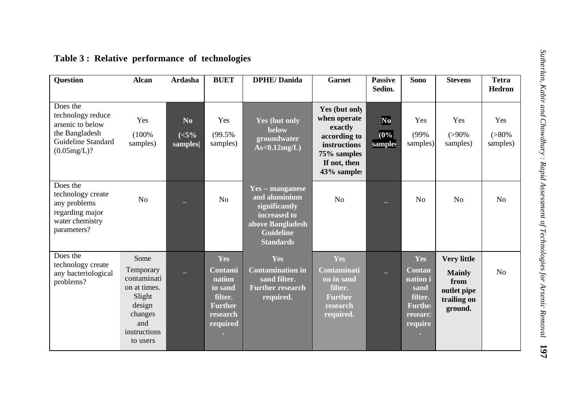| <b>Question</b>                                                                                          | <b>Alcan</b>                                                                                                       | <b>Ardasha</b>               | <b>BUET</b>                                                                              | <b>DPHE/Danida</b>                                                                                                                   | <b>Garnet</b>                                                                                                          | <b>Passive</b><br>Sedim.      | Sono                                                                                | <b>Stevens</b>                                                                       | <b>Tetra</b><br><b>Hedron</b> |
|----------------------------------------------------------------------------------------------------------|--------------------------------------------------------------------------------------------------------------------|------------------------------|------------------------------------------------------------------------------------------|--------------------------------------------------------------------------------------------------------------------------------------|------------------------------------------------------------------------------------------------------------------------|-------------------------------|-------------------------------------------------------------------------------------|--------------------------------------------------------------------------------------|-------------------------------|
| Does the<br>technology reduce<br>arsenic to below<br>the Bangladesh<br>Guideline Standard<br>(0.05mg/L)? | Yes<br>(100%<br>samples)                                                                                           | No<br>( <b>5%</b><br>samples | Yes<br>(99.5%<br>samples)                                                                | Yes (but only<br><b>below</b><br>groundwater<br>$As < 0.12$ mg/L)                                                                    | Yes (but only<br>when operate<br>exactly<br>according to<br>instructions<br>75% samples<br>If not, then<br>43% samples | $\bf No$<br>$(0\%$<br>samples | Yes<br>(99%<br>samples)                                                             | Yes<br>$(>90\%$<br>samples)                                                          | Yes<br>$(>80\%$<br>samples)   |
| Does the<br>technology create<br>any problems<br>regarding major<br>water chemistry<br>parameters?       | No                                                                                                                 |                              | No                                                                                       | <b>Yes – manganese</b><br>and aluminium<br>significantly<br>increased to<br>above Bangladesh<br><b>Guideline</b><br><b>Standards</b> | No                                                                                                                     |                               | No                                                                                  | N <sub>0</sub>                                                                       | No                            |
| Does the<br>technology create<br>any bacteriological<br>problems?                                        | Some<br>Temporary<br>contaminati<br>on at times.<br>Slight<br>design<br>changes<br>and<br>instructions<br>to users |                              | Yes<br>Contami<br>nation<br>in sand<br>filter.<br><b>Further</b><br>research<br>required | Yes<br><b>Contamination in</b><br>sand filter.<br><b>Further research</b><br>required.                                               | Yes<br>Contaminati<br>on in sand<br>filter.<br><b>Further</b><br>research<br>required.                                 |                               | Yes<br><b>Contan</b><br>nation i<br>sand<br>filter.<br>Furthe<br>researc<br>require | <b>Very little</b><br><b>Mainly</b><br>from<br>outlet pipe<br>trailing on<br>ground. | N <sub>o</sub>                |

# **Table 3 : Relative performance of technologies**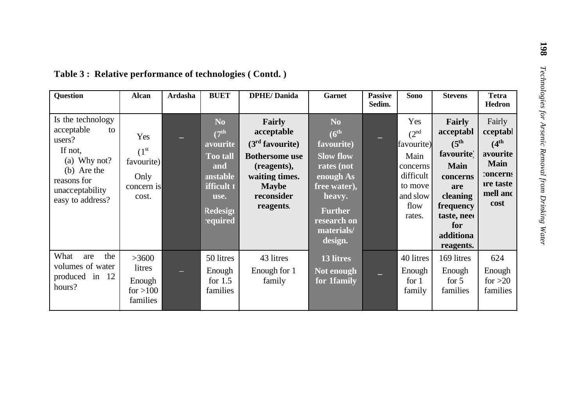| Question                                                                                                                                        | <b>Alcan</b>                                                           | Ardasha | <b>BUET</b>                                                                                                                                                    | <b>DPHE/Danida</b>                                                                                                                             | <b>Garnet</b>                                                                                                                                                                        | <b>Passive</b><br>Sedim. | <b>Sono</b>                                                                                                     | <b>Stevens</b>                                                                                                                                                    | <b>Tetra</b><br><b>Hedron</b>                                                                           |
|-------------------------------------------------------------------------------------------------------------------------------------------------|------------------------------------------------------------------------|---------|----------------------------------------------------------------------------------------------------------------------------------------------------------------|------------------------------------------------------------------------------------------------------------------------------------------------|--------------------------------------------------------------------------------------------------------------------------------------------------------------------------------------|--------------------------|-----------------------------------------------------------------------------------------------------------------|-------------------------------------------------------------------------------------------------------------------------------------------------------------------|---------------------------------------------------------------------------------------------------------|
| Is the technology<br>acceptable<br>to<br>users?<br>If not,<br>(a) Why not?<br>(b) Are the<br>reasons for<br>unacceptability<br>easy to address? | Yes<br>(1 <sup>st</sup> )<br>favourite)<br>Only<br>concern is<br>cost. |         | N <sub>0</sub><br>(7 <sup>th</sup><br>avourite<br><b>Too tall</b><br>and<br><b>unstable</b><br><b>ifficult 1</b><br>use.<br><b>Redesign</b><br><b>required</b> | Fairly<br>acceptable<br>$(3rd$ favourite)<br><b>Bothersome</b> use<br>(reagents),<br>waiting times.<br><b>Maybe</b><br>reconsider<br>reagents. | N <sub>0</sub><br>$(6^{\text{th}})$<br>favourite)<br><b>Slow flow</b><br>rates (not<br>enough As<br>free water),<br>heavy.<br><b>Further</b><br>research on<br>materials/<br>design. |                          | Yes<br>(2 <sup>nd</sup><br>favourite)<br>Main<br>concerns<br>difficult<br>to move<br>and slow<br>flow<br>rates. | Fairly<br>acceptabl<br>$(5^{\text{th}})$<br>favourite)<br><b>Main</b><br>concerns<br>are<br>cleaning<br>frequency<br>taste, need<br>for<br>additiona<br>reagents. | Fairly<br>cceptabl<br>$(4^{th}$<br>avourite<br><b>Main</b><br>concerns<br>are taste<br>mell and<br>cost |
| What<br>the<br>are<br>volumes of water<br>produced in 12<br>hours?                                                                              | >3600<br>litres<br>Enough<br>for $>100$<br>families                    |         | 50 litres<br>Enough<br>for $1.5$<br>families                                                                                                                   | 43 litres<br>Enough for 1<br>family                                                                                                            | 13 litres<br>Not enough<br>for 1family                                                                                                                                               |                          | 40 litres<br>Enough<br>for 1<br>family                                                                          | 169 litres<br>Enough<br>for $5$<br>families                                                                                                                       | 624<br>Enough<br>for $>20$<br>families                                                                  |

# **Table 3 : Relative performance of technologies ( Contd. )**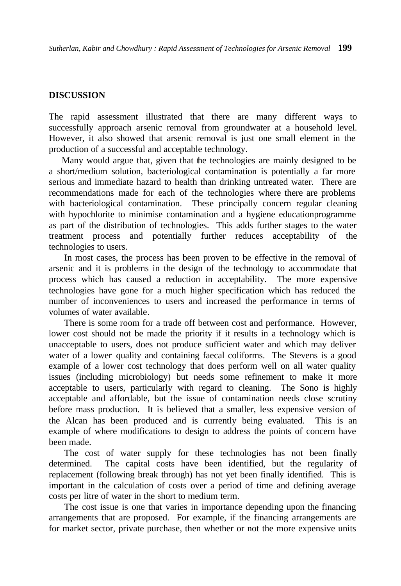### **DISCUSSION**

The rapid assessment illustrated that there are many different ways to successfully approach arsenic removal from groundwater at a household level. However, it also showed that arsenic removal is just one small element in the production of a successful and acceptable technology.

 Many would argue that, given that the technologies are mainly designed to be a short/medium solution, bacteriological contamination is potentially a far more serious and immediate hazard to health than drinking untreated water. There are recommendations made for each of the technologies where there are problems with bacteriological contamination. These principally concern regular cleaning with hypochlorite to minimise contamination and a hygiene education programme as part of the distribution of technologies. This adds further stages to the water treatment process and potentially further reduces acceptability of the technologies to users.

In most cases, the process has been proven to be effective in the removal of arsenic and it is problems in the design of the technology to accommodate that process which has caused a reduction in acceptability. The more expensive technologies have gone for a much higher specification which has reduced the number of inconveniences to users and increased the performance in terms of volumes of water available.

There is some room for a trade off between cost and performance. However, lower cost should not be made the priority if it results in a technology which is unacceptable to users, does not produce sufficient water and which may deliver water of a lower quality and containing faecal coliforms. The Stevens is a good example of a lower cost technology that does perform well on all water quality issues (including microbiology) but needs some refinement to make it more acceptable to users, particularly with regard to cleaning. The Sono is highly acceptable and affordable, but the issue of contamination needs close scrutiny before mass production. It is believed that a smaller, less expensive version of the Alcan has been produced and is currently being evaluated. This is an example of where modifications to design to address the points of concern have been made.

The cost of water supply for these technologies has not been finally determined. The capital costs have been identified, but the regularity of replacement (following break through) has not yet been finally identified. This is important in the calculation of costs over a period of time and defining average costs per litre of water in the short to medium term.

The cost issue is one that varies in importance depending upon the financing arrangements that are proposed. For example, if the financing arrangements are for market sector, private purchase, then whether or not the more expensive units